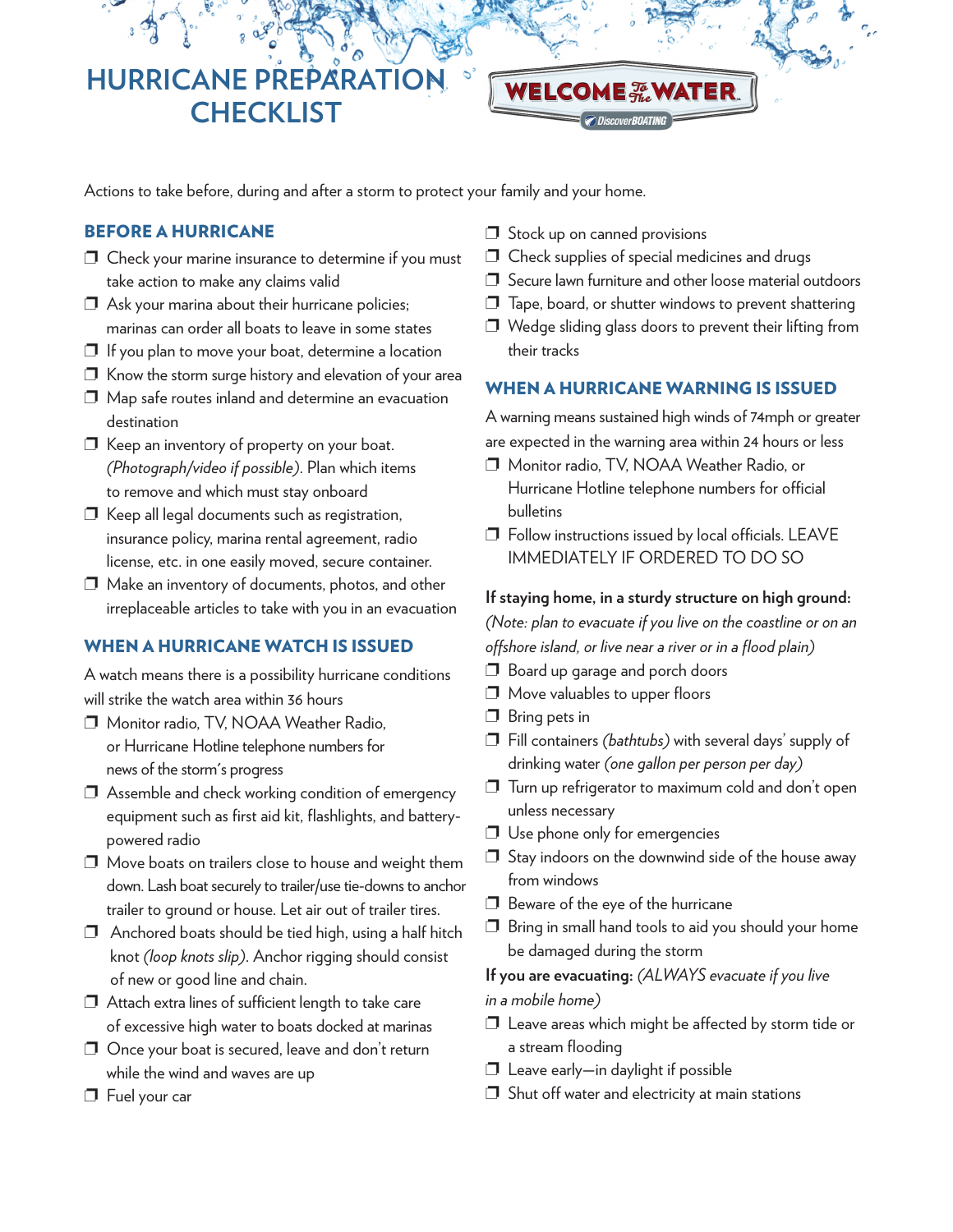**HURRICANE PREPARATIO CHECKLIST** 

Actions to take before, during and after a storm to protect your family and your home.

### **BEFORE A HURRICANE**

- $\Box$  Check your marine insurance to determine if you must take action to make any claims valid
- $\Box$  Ask your marina about their hurricane policies; marinas can order all boats to leave in some states
- $\Box$  If you plan to move your boat, determine a location
- $\Box$  Know the storm surge history and elevation of your area
- ❐ Map safe routes inland and determine an evacuation destination
- ❐ Keep an inventory of property on your boat. *(Photograph/video if possible)*. Plan which items to remove and which must stay onboard
- ❐ Keep all legal documents such as registration, insurance policy, marina rental agreement, radio license, etc. in one easily moved, secure container.
- ❐ Make an inventory of documents, photos, and other irreplaceable articles to take with you in an evacuation

# **WHEN A HURRICANE WATCH IS ISSUED**

A watch means there is a possibility hurricane conditions will strike the watch area within 36 hours

- ❐ Monitor radio, TV, NOAA Weather Radio, or Hurricane Hotline telephone numbers for news of the storm's progress
- ❐ Assemble and check working condition of emergency equipment such as first aid kit, flashlights, and batterypowered radio
- ❐ Move boats on trailers close to house and weight them down. Lash boat securely to trailer/use tie-downs to anchor trailer to ground or house. Let air out of trailer tires.
- $\square$  Anchored boats should be tied high, using a half hitch knot *(loop knots slip)*. Anchor rigging should consist of new or good line and chain.
- $\Box$  Attach extra lines of sufficient length to take care of excessive high water to boats docked at marinas
- ❐ Once your boat is secured, leave and don't return while the wind and waves are up
- ❐ Fuel your car
- ❐ Stock up on canned provisions
- ❐ Check supplies of special medicines and drugs
- ❐ Secure lawn furniture and other loose material outdoors
- ❐ Tape, board, or shutter windows to prevent shattering
- $\square$  Wedge sliding glass doors to prevent their lifting from their tracks

# **WHEN A HURRICANE WARNING IS ISSUED**

A warning means sustained high winds of 74mph or greater are expected in the warning area within 24 hours or less

- ❐ Monitor radio, TV, NOAA Weather Radio, or Hurricane Hotline telephone numbers for official bulletins
- ❐ Follow instructions issued by local officials. LEAVE IMMEDIATELY IF ORDERED TO DO SO

#### **If staying home, in a sturdy structure on high ground:**

*(Note: plan to evacuate if you live on the coastline or on an offshore island, or live near a river or in a flood plain)*

- ❐ Board up garage and porch doors
- ❐ Move valuables to upper floors
- □ Bring pets in
- ❐ Fill containers *(bathtubs)* with several days' supply of drinking water *(one gallon per person per day)*
- ❐ Turn up refrigerator to maximum cold and don't open unless necessary
- ❐ Use phone only for emergencies
- $\square$  Stay indoors on the downwind side of the house away from windows
- ❐ Beware of the eye of the hurricane
- $\square$  Bring in small hand tools to aid you should your home be damaged during the storm

#### **If you are evacuating:** *(ALWAYS evacuate if you live*

*in a mobile home)*

- ❐ Leave areas which might be affected by storm tide or a stream flooding
- ❐ Leave early—in daylight if possible
- $\Box$  Shut off water and electricity at main stations